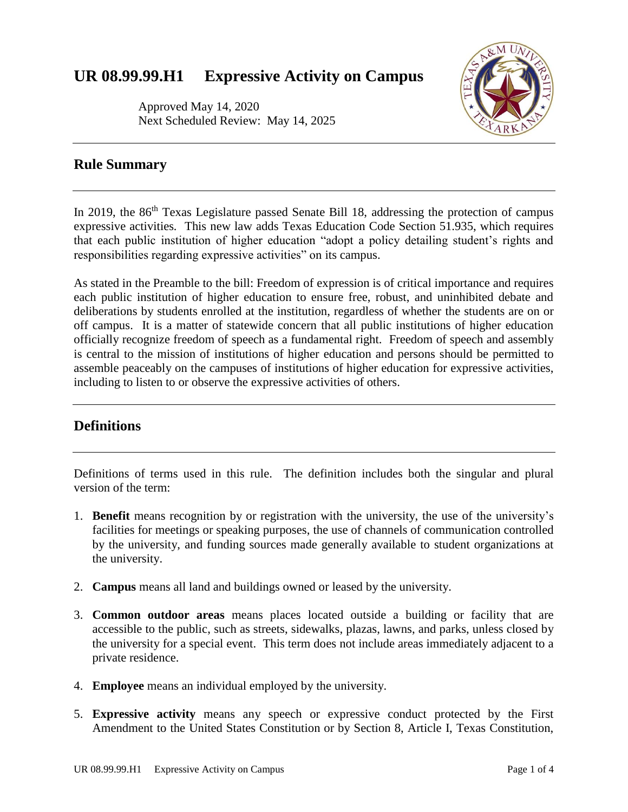# **UR 08.99.99.H1 Expressive Activity on Campus**

Approved May 14, 2020 Next Scheduled Review: May 14, 2025



## **Rule Summary**

In 2019, the 86<sup>th</sup> Texas Legislature passed Senate Bill 18, addressing the protection of campus expressive activities*.* This new law adds Texas Education Code Section 51.935, which requires that each public institution of higher education "adopt a policy detailing student's rights and responsibilities regarding expressive activities" on its campus.

As stated in the Preamble to the bill: Freedom of expression is of critical importance and requires each public institution of higher education to ensure free, robust, and uninhibited debate and deliberations by students enrolled at the institution, regardless of whether the students are on or off campus. It is a matter of statewide concern that all public institutions of higher education officially recognize freedom of speech as a fundamental right. Freedom of speech and assembly is central to the mission of institutions of higher education and persons should be permitted to assemble peaceably on the campuses of institutions of higher education for expressive activities, including to listen to or observe the expressive activities of others.

## **Definitions**

Definitions of terms used in this rule. The definition includes both the singular and plural version of the term:

- 1. **Benefit** means recognition by or registration with the university, the use of the university's facilities for meetings or speaking purposes, the use of channels of communication controlled by the university, and funding sources made generally available to student organizations at the university.
- 2. **Campus** means all land and buildings owned or leased by the university.
- 3. **Common outdoor areas** means places located outside a building or facility that are accessible to the public, such as streets, sidewalks, plazas, lawns, and parks, unless closed by the university for a special event. This term does not include areas immediately adjacent to a private residence.
- 4. **Employee** means an individual employed by the university.
- 5. **Expressive activity** means any speech or expressive conduct protected by the First Amendment to the United States Constitution or by Section 8, Article I, Texas Constitution,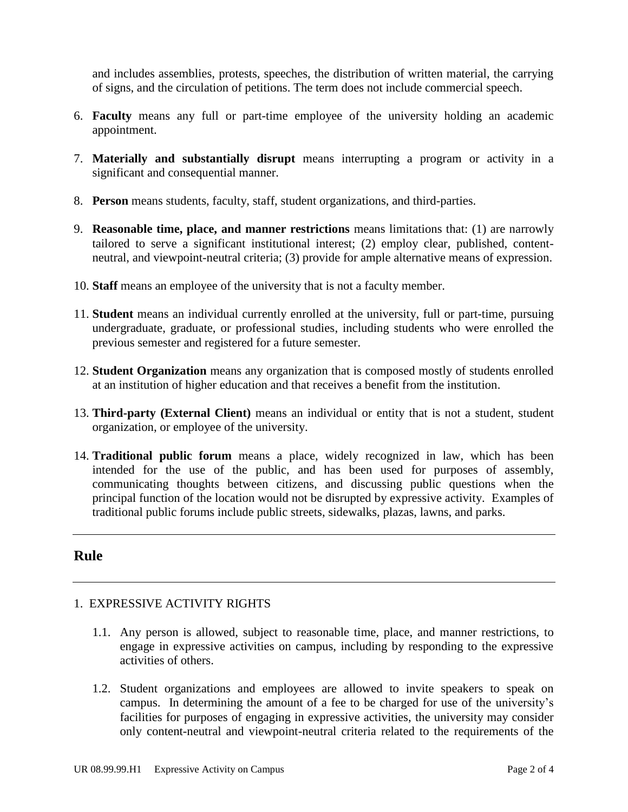and includes assemblies, protests, speeches, the distribution of written material, the carrying of signs, and the circulation of petitions. The term does not include commercial speech.

- 6. **Faculty** means any full or part-time employee of the university holding an academic appointment.
- 7. **Materially and substantially disrupt** means interrupting a program or activity in a significant and consequential manner.
- 8. **Person** means students, faculty, staff, student organizations, and third-parties.
- 9. **Reasonable time, place, and manner restrictions** means limitations that: (1) are narrowly tailored to serve a significant institutional interest; (2) employ clear, published, contentneutral, and viewpoint-neutral criteria; (3) provide for ample alternative means of expression.
- 10. **Staff** means an employee of the university that is not a faculty member.
- 11. **Student** means an individual currently enrolled at the university, full or part-time, pursuing undergraduate, graduate, or professional studies, including students who were enrolled the previous semester and registered for a future semester.
- 12. **Student Organization** means any organization that is composed mostly of students enrolled at an institution of higher education and that receives a benefit from the institution.
- 13. **Third-party (External Client)** means an individual or entity that is not a student, student organization, or employee of the university.
- 14. **Traditional public forum** means a place, widely recognized in law, which has been intended for the use of the public, and has been used for purposes of assembly, communicating thoughts between citizens, and discussing public questions when the principal function of the location would not be disrupted by expressive activity. Examples of traditional public forums include public streets, sidewalks, plazas, lawns, and parks.

## **Rule**

#### 1. EXPRESSIVE ACTIVITY RIGHTS

- 1.1. Any person is allowed, subject to reasonable time, place, and manner restrictions, to engage in expressive activities on campus, including by responding to the expressive activities of others.
- 1.2. Student organizations and employees are allowed to invite speakers to speak on campus. In determining the amount of a fee to be charged for use of the university's facilities for purposes of engaging in expressive activities, the university may consider only content-neutral and viewpoint-neutral criteria related to the requirements of the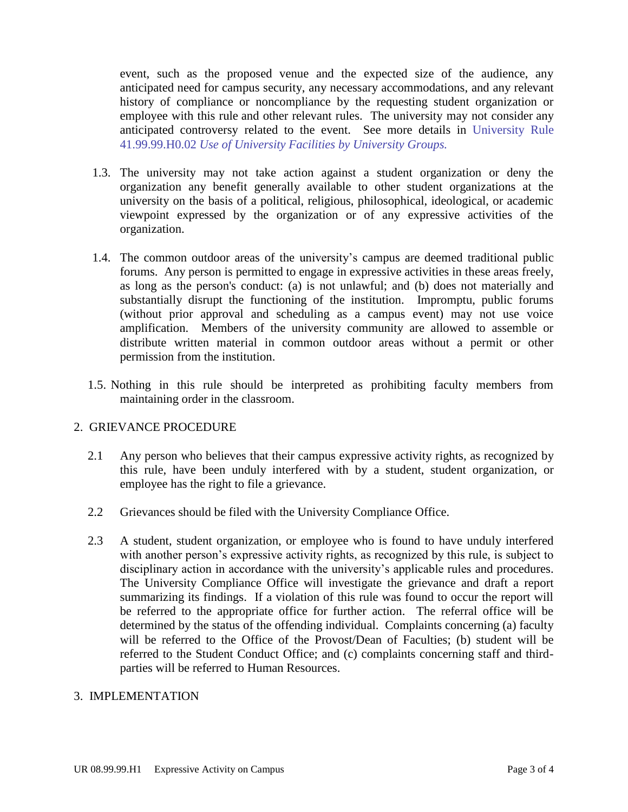event, such as the proposed venue and the expected size of the audience, any anticipated need for campus security, any necessary accommodations, and any relevant history of compliance or noncompliance by the requesting student organization or employee with this rule and other relevant rules. The university may not consider any anticipated controversy related to the event. See more details in [University Rule](https://tamut.edu/About/Administration/About/Rules/41-99-99-H0-02.pdf)  41.99.99.H0.02 *[Use of University Facilities by University Groups.](https://tamut.edu/About/Administration/About/Rules/41-99-99-H0-02.pdf)*

- 1.3. The university may not take action against a student organization or deny the organization any benefit generally available to other student organizations at the university on the basis of a political, religious, philosophical, ideological, or academic viewpoint expressed by the organization or of any expressive activities of the organization.
- 1.4. The common outdoor areas of the university's campus are deemed traditional public forums. Any person is permitted to engage in expressive activities in these areas freely, as long as the person's conduct: (a) is not unlawful; and (b) does not materially and substantially disrupt the functioning of the institution. Impromptu, public forums (without prior approval and scheduling as a campus event) may not use voice amplification. Members of the university community are allowed to assemble or distribute written material in common outdoor areas without a permit or other permission from the institution.
- 1.5. Nothing in this rule should be interpreted as prohibiting faculty members from maintaining order in the classroom.

#### 2. GRIEVANCE PROCEDURE

- 2.1 Any person who believes that their campus expressive activity rights, as recognized by this rule, have been unduly interfered with by a student, student organization, or employee has the right to file a grievance.
- 2.2 Grievances should be filed with the University Compliance Office.
- 2.3 A student, student organization, or employee who is found to have unduly interfered with another person's expressive activity rights, as recognized by this rule, is subject to disciplinary action in accordance with the university's applicable rules and procedures. The University Compliance Office will investigate the grievance and draft a report summarizing its findings. If a violation of this rule was found to occur the report will be referred to the appropriate office for further action. The referral office will be determined by the status of the offending individual. Complaints concerning (a) faculty will be referred to the Office of the Provost/Dean of Faculties; (b) student will be referred to the Student Conduct Office; and (c) complaints concerning staff and thirdparties will be referred to Human Resources.

#### 3. IMPLEMENTATION